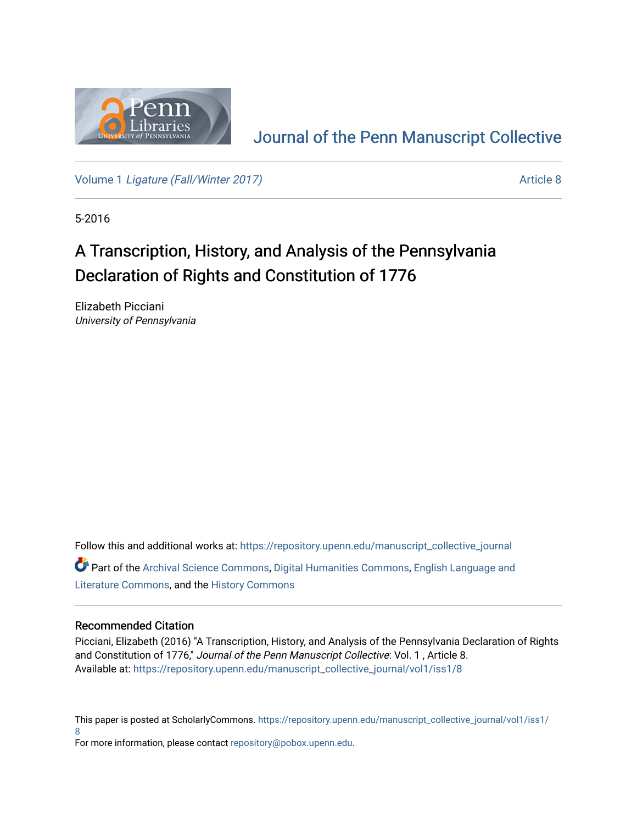

## [Journal of the Penn Manuscript Collective](https://repository.upenn.edu/manuscript_collective_journal)

Volume 1 [Ligature \(Fall/Winter 2017\)](https://repository.upenn.edu/manuscript_collective_journal/vol1) Article 8

5-2016

# A Transcription, History, and Analysis of the Pennsylvania Declaration of Rights and Constitution of 1776

Elizabeth Picciani University of Pennsylvania

Follow this and additional works at: [https://repository.upenn.edu/manuscript\\_collective\\_journal](https://repository.upenn.edu/manuscript_collective_journal?utm_source=repository.upenn.edu%2Fmanuscript_collective_journal%2Fvol1%2Fiss1%2F8&utm_medium=PDF&utm_campaign=PDFCoverPages) Part of the [Archival Science Commons,](http://network.bepress.com/hgg/discipline/1021?utm_source=repository.upenn.edu%2Fmanuscript_collective_journal%2Fvol1%2Fiss1%2F8&utm_medium=PDF&utm_campaign=PDFCoverPages) [Digital Humanities Commons](http://network.bepress.com/hgg/discipline/1286?utm_source=repository.upenn.edu%2Fmanuscript_collective_journal%2Fvol1%2Fiss1%2F8&utm_medium=PDF&utm_campaign=PDFCoverPages), [English Language and](http://network.bepress.com/hgg/discipline/455?utm_source=repository.upenn.edu%2Fmanuscript_collective_journal%2Fvol1%2Fiss1%2F8&utm_medium=PDF&utm_campaign=PDFCoverPages)  [Literature Commons,](http://network.bepress.com/hgg/discipline/455?utm_source=repository.upenn.edu%2Fmanuscript_collective_journal%2Fvol1%2Fiss1%2F8&utm_medium=PDF&utm_campaign=PDFCoverPages) and the [History Commons](http://network.bepress.com/hgg/discipline/489?utm_source=repository.upenn.edu%2Fmanuscript_collective_journal%2Fvol1%2Fiss1%2F8&utm_medium=PDF&utm_campaign=PDFCoverPages)

#### Recommended Citation

Picciani, Elizabeth (2016) "A Transcription, History, and Analysis of the Pennsylvania Declaration of Rights and Constitution of 1776," Journal of the Penn Manuscript Collective: Vol. 1 , Article 8. Available at: [https://repository.upenn.edu/manuscript\\_collective\\_journal/vol1/iss1/8](https://repository.upenn.edu/manuscript_collective_journal/vol1/iss1/8?utm_source=repository.upenn.edu%2Fmanuscript_collective_journal%2Fvol1%2Fiss1%2F8&utm_medium=PDF&utm_campaign=PDFCoverPages) 

This paper is posted at ScholarlyCommons. [https://repository.upenn.edu/manuscript\\_collective\\_journal/vol1/iss1/](https://repository.upenn.edu/manuscript_collective_journal/vol1/iss1/8) [8](https://repository.upenn.edu/manuscript_collective_journal/vol1/iss1/8)

For more information, please contact [repository@pobox.upenn.edu.](mailto:repository@pobox.upenn.edu)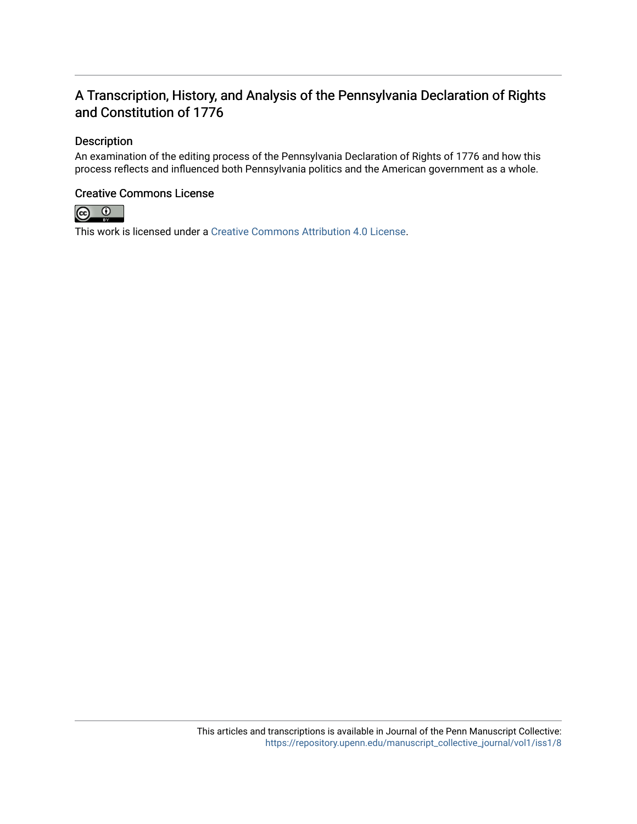### A Transcription, History, and Analysis of the Pennsylvania Declaration of Rights and Constitution of 1776

#### Description

An examination of the editing process of the Pennsylvania Declaration of Rights of 1776 and how this process reflects and influenced both Pennsylvania politics and the American government as a whole.

#### Creative Commons License



This work is licensed under a [Creative Commons Attribution 4.0 License](https://creativecommons.org/licenses/by/4.0/).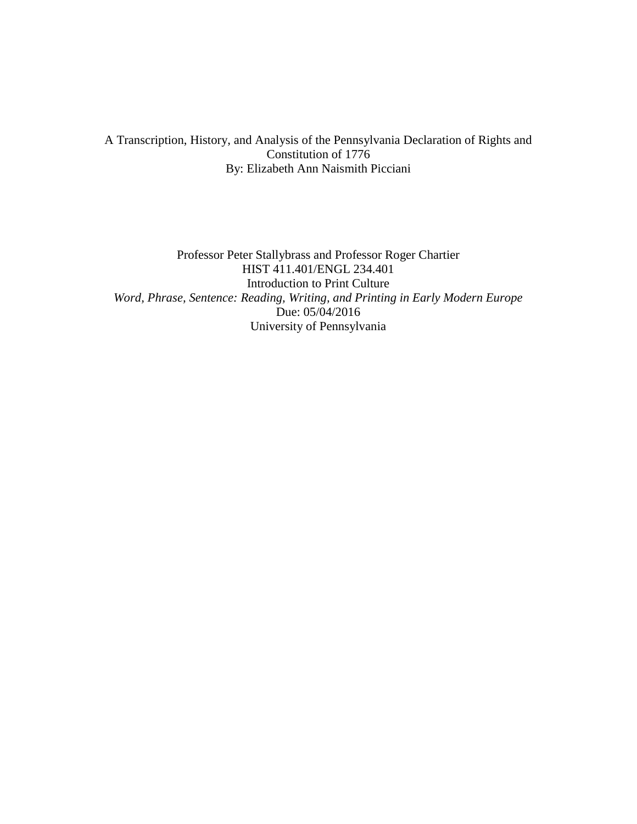#### A Transcription, History, and Analysis of the Pennsylvania Declaration of Rights and Constitution of 1776 By: Elizabeth Ann Naismith Picciani

Professor Peter Stallybrass and Professor Roger Chartier HIST 411.401/ENGL 234.401 Introduction to Print Culture *Word, Phrase, Sentence: Reading, Writing, and Printing in Early Modern Europe* Due: 05/04/2016 University of Pennsylvania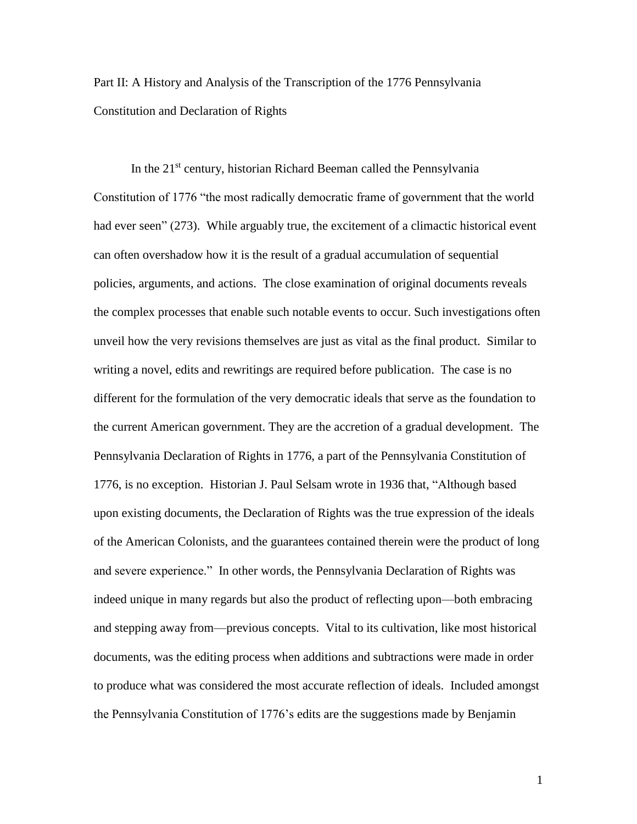Part II: A History and Analysis of the Transcription of the 1776 Pennsylvania Constitution and Declaration of Rights

In the  $21<sup>st</sup>$  century, historian Richard Beeman called the Pennsylvania Constitution of 1776 "the most radically democratic frame of government that the world had ever seen" (273). While arguably true, the excitement of a climactic historical event can often overshadow how it is the result of a gradual accumulation of sequential policies, arguments, and actions. The close examination of original documents reveals the complex processes that enable such notable events to occur. Such investigations often unveil how the very revisions themselves are just as vital as the final product. Similar to writing a novel, edits and rewritings are required before publication. The case is no different for the formulation of the very democratic ideals that serve as the foundation to the current American government. They are the accretion of a gradual development. The Pennsylvania Declaration of Rights in 1776, a part of the Pennsylvania Constitution of 1776, is no exception. Historian J. Paul Selsam wrote in 1936 that, "Although based upon existing documents, the Declaration of Rights was the true expression of the ideals of the American Colonists, and the guarantees contained therein were the product of long and severe experience." In other words, the Pennsylvania Declaration of Rights was indeed unique in many regards but also the product of reflecting upon—both embracing and stepping away from—previous concepts. Vital to its cultivation, like most historical documents, was the editing process when additions and subtractions were made in order to produce what was considered the most accurate reflection of ideals. Included amongst the Pennsylvania Constitution of 1776's edits are the suggestions made by Benjamin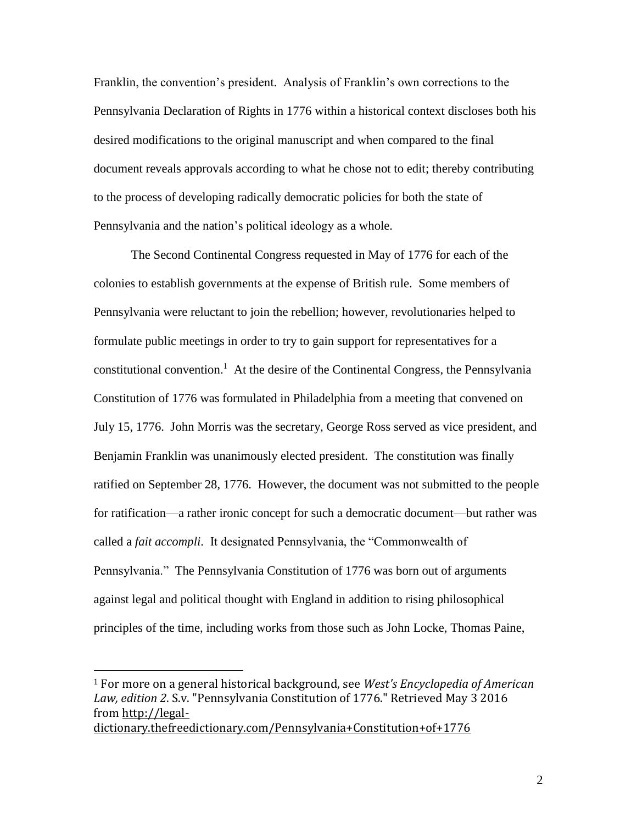Franklin, the convention's president. Analysis of Franklin's own corrections to the Pennsylvania Declaration of Rights in 1776 within a historical context discloses both his desired modifications to the original manuscript and when compared to the final document reveals approvals according to what he chose not to edit; thereby contributing to the process of developing radically democratic policies for both the state of Pennsylvania and the nation's political ideology as a whole.

The Second Continental Congress requested in May of 1776 for each of the colonies to establish governments at the expense of British rule. Some members of Pennsylvania were reluctant to join the rebellion; however, revolutionaries helped to formulate public meetings in order to try to gain support for representatives for a constitutional convention. 1 At the desire of the Continental Congress, the Pennsylvania Constitution of 1776 was formulated in Philadelphia from a meeting that convened on July 15, 1776. John Morris was the secretary, George Ross served as vice president, and Benjamin Franklin was unanimously elected president. The constitution was finally ratified on September 28, 1776. However, the document was not submitted to the people for ratification—a rather ironic concept for such a democratic document—but rather was called a *fait accompli*. It designated Pennsylvania, the "Commonwealth of Pennsylvania." The Pennsylvania Constitution of 1776 was born out of arguments against legal and political thought with England in addition to rising philosophical principles of the time, including works from those such as John Locke, Thomas Paine,

[dictionary.thefreedictionary.com/Pennsylvania+Constitution+of+1776](http://legal-dictionary.thefreedictionary.com/Pennsylvania+Constitution+of+1776)

<sup>1</sup> For more on a general historical background, see *West's Encyclopedia of American Law, edition 2*. S.v. "Pennsylvania Constitution of 1776." Retrieved May 3 2016 from [http://legal-](http://legal-dictionary.thefreedictionary.com/Pennsylvania+Constitution+of+1776)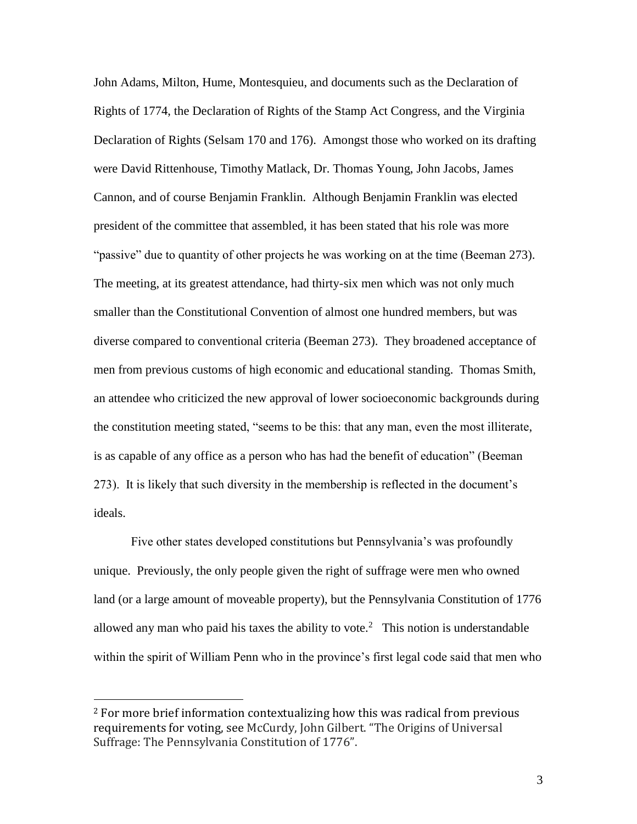John Adams, Milton, Hume, Montesquieu, and documents such as the Declaration of Rights of 1774, the Declaration of Rights of the Stamp Act Congress, and the Virginia Declaration of Rights (Selsam 170 and 176). Amongst those who worked on its drafting were David Rittenhouse, Timothy Matlack, Dr. Thomas Young, John Jacobs, James Cannon, and of course Benjamin Franklin. Although Benjamin Franklin was elected president of the committee that assembled, it has been stated that his role was more "passive" due to quantity of other projects he was working on at the time (Beeman 273). The meeting, at its greatest attendance, had thirty-six men which was not only much smaller than the Constitutional Convention of almost one hundred members, but was diverse compared to conventional criteria (Beeman 273). They broadened acceptance of men from previous customs of high economic and educational standing. Thomas Smith, an attendee who criticized the new approval of lower socioeconomic backgrounds during the constitution meeting stated, "seems to be this: that any man, even the most illiterate, is as capable of any office as a person who has had the benefit of education" (Beeman 273). It is likely that such diversity in the membership is reflected in the document's ideals.

Five other states developed constitutions but Pennsylvania's was profoundly unique. Previously, the only people given the right of suffrage were men who owned land (or a large amount of moveable property), but the Pennsylvania Constitution of 1776 allowed any man who paid his taxes the ability to vote.<sup>2</sup> This notion is understandable within the spirit of William Penn who in the province's first legal code said that men who

<sup>2</sup> For more brief information contextualizing how this was radical from previous requirements for voting, see McCurdy, John Gilbert. "The Origins of Universal Suffrage: The Pennsylvania Constitution of 1776".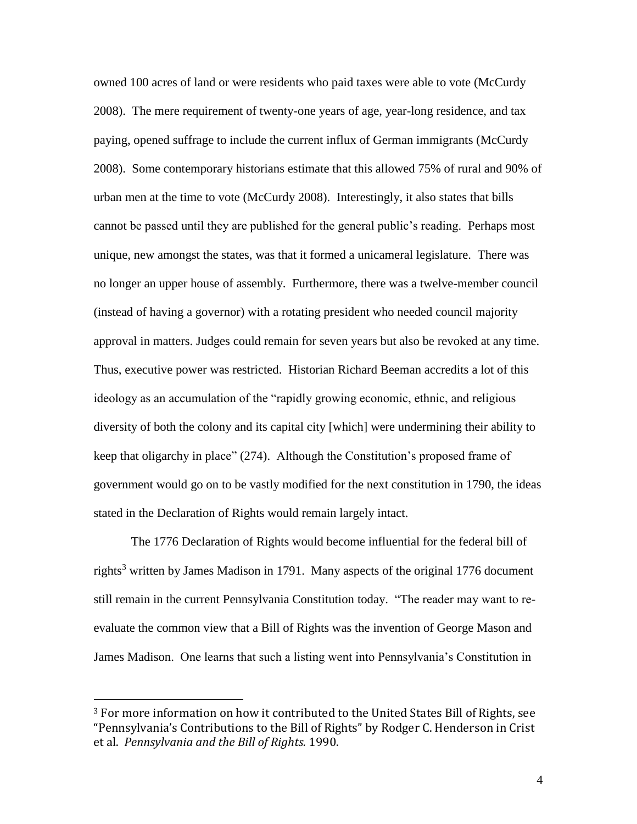owned 100 acres of land or were residents who paid taxes were able to vote (McCurdy 2008). The mere requirement of twenty-one years of age, year-long residence, and tax paying, opened suffrage to include the current influx of German immigrants (McCurdy 2008). Some contemporary historians estimate that this allowed 75% of rural and 90% of urban men at the time to vote (McCurdy 2008). Interestingly, it also states that bills cannot be passed until they are published for the general public's reading. Perhaps most unique, new amongst the states, was that it formed a unicameral legislature. There was no longer an upper house of assembly. Furthermore, there was a twelve-member council (instead of having a governor) with a rotating president who needed council majority approval in matters. Judges could remain for seven years but also be revoked at any time. Thus, executive power was restricted. Historian Richard Beeman accredits a lot of this ideology as an accumulation of the "rapidly growing economic, ethnic, and religious diversity of both the colony and its capital city [which] were undermining their ability to keep that oligarchy in place" (274). Although the Constitution's proposed frame of government would go on to be vastly modified for the next constitution in 1790, the ideas stated in the Declaration of Rights would remain largely intact.

The 1776 Declaration of Rights would become influential for the federal bill of rights<sup>3</sup> written by James Madison in 1791. Many aspects of the original 1776 document still remain in the current Pennsylvania Constitution today. "The reader may want to reevaluate the common view that a Bill of Rights was the invention of George Mason and James Madison. One learns that such a listing went into Pennsylvania's Constitution in

<sup>3</sup> For more information on how it contributed to the United States Bill of Rights, see "Pennsylvania's Contributions to the Bill of Rights" by Rodger C. Henderson in Crist et al. *Pennsylvania and the Bill of Rights.* 1990.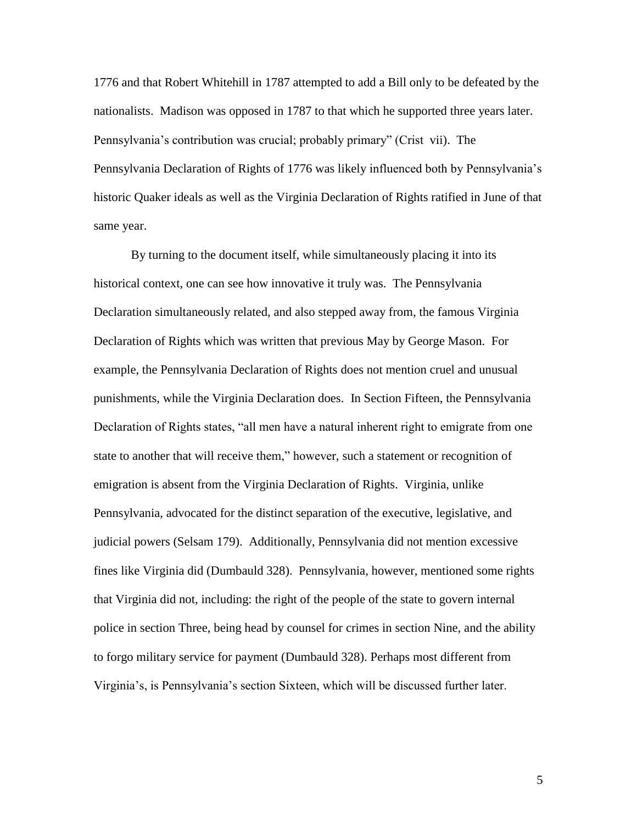1776 and that Robert Whitehill in 1787 attempted to add a Bill only to be defeated by the nationalists. Madison was opposed in 1787 to that which he supported three years later. Pennsylvania's contribution was crucial; probably primary" (Crist vii). The Pennsylvania Declaration of Rights of 1776 was likely influenced both by Pennsylvania's historic Quaker ideals as well as the Virginia Declaration of Rights ratified in June of that same year.

By turning to the document itself, while simultaneously placing it into its historical context, one can see how innovative it truly was. The Pennsylvania Declaration simultaneously related, and also stepped away from, the famous Virginia Declaration of Rights which was written that previous May by George Mason. For example, the Pennsylvania Declaration of Rights does not mention cruel and unusual punishments, while the Virginia Declaration does. In Section Fifteen, the Pennsylvania Declaration of Rights states, "all men have a natural inherent right to emigrate from one state to another that will receive them," however, such a statement or recognition of emigration is absent from the Virginia Declaration of Rights. Virginia, unlike Pennsylvania, advocated for the distinct separation of the executive, legislative, and judicial powers (Selsam 179). Additionally, Pennsylvania did not mention excessive fines like Virginia did (Dumbauld 328). Pennsylvania, however, mentioned some rights that Virginia did not, including: the right of the people of the state to govern internal police in section Three, being head by counsel for crimes in section Nine, and the ability to forgo military service for payment (Dumbauld 328). Perhaps most different from Virginia's, is Pennsylvania's section Sixteen, which will be discussed further later.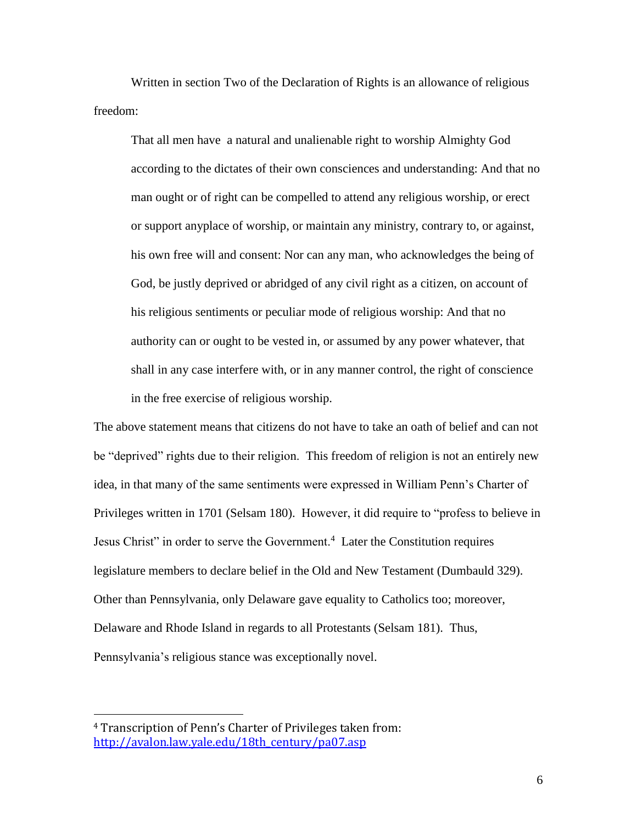Written in section Two of the Declaration of Rights is an allowance of religious freedom:

That all men have a natural and unalienable right to worship Almighty God according to the dictates of their own consciences and understanding: And that no man ought or of right can be compelled to attend any religious worship, or erect or support anyplace of worship, or maintain any ministry, contrary to, or against, his own free will and consent: Nor can any man, who acknowledges the being of God, be justly deprived or abridged of any civil right as a citizen, on account of his religious sentiments or peculiar mode of religious worship: And that no authority can or ought to be vested in, or assumed by any power whatever, that shall in any case interfere with, or in any manner control, the right of conscience in the free exercise of religious worship.

The above statement means that citizens do not have to take an oath of belief and can not be "deprived" rights due to their religion. This freedom of religion is not an entirely new idea, in that many of the same sentiments were expressed in William Penn's Charter of Privileges written in 1701 (Selsam 180). However, it did require to "profess to believe in Jesus Christ" in order to serve the Government.<sup>4</sup> Later the Constitution requires legislature members to declare belief in the Old and New Testament (Dumbauld 329). Other than Pennsylvania, only Delaware gave equality to Catholics too; moreover, Delaware and Rhode Island in regards to all Protestants (Selsam 181). Thus, Pennsylvania's religious stance was exceptionally novel.

<sup>4</sup> Transcription of Penn's Charter of Privileges taken from: [http://avalon.law.yale.edu/18th\\_century/pa07.asp](http://avalon.law.yale.edu/18th_century/pa07.asp)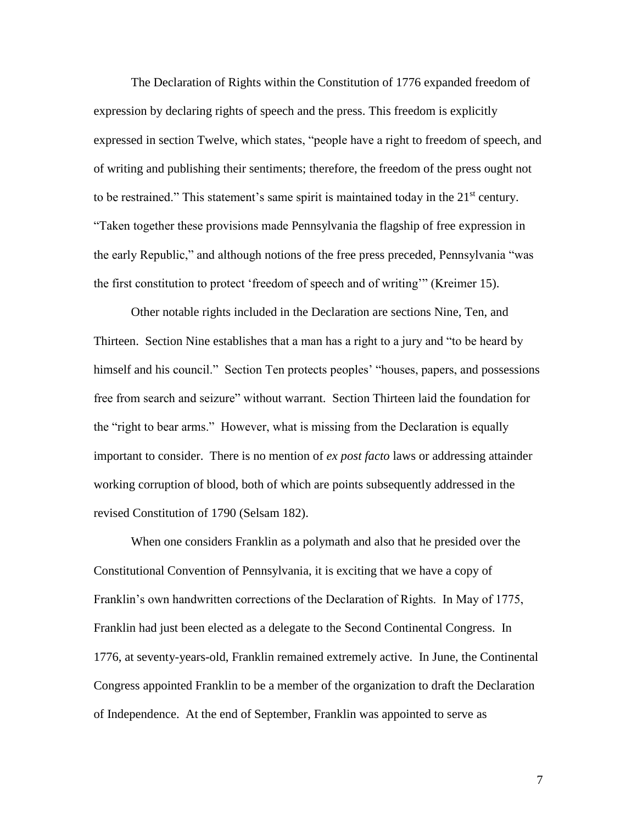The Declaration of Rights within the Constitution of 1776 expanded freedom of expression by declaring rights of speech and the press. This freedom is explicitly expressed in section Twelve, which states, "people have a right to freedom of speech, and of writing and publishing their sentiments; therefore, the freedom of the press ought not to be restrained." This statement's same spirit is maintained today in the  $21<sup>st</sup>$  century. "Taken together these provisions made Pennsylvania the flagship of free expression in the early Republic," and although notions of the free press preceded, Pennsylvania "was the first constitution to protect 'freedom of speech and of writing'" (Kreimer 15).

Other notable rights included in the Declaration are sections Nine, Ten, and Thirteen. Section Nine establishes that a man has a right to a jury and "to be heard by himself and his council." Section Ten protects peoples' "houses, papers, and possessions free from search and seizure" without warrant. Section Thirteen laid the foundation for the "right to bear arms." However, what is missing from the Declaration is equally important to consider. There is no mention of *ex post facto* laws or addressing attainder working corruption of blood, both of which are points subsequently addressed in the revised Constitution of 1790 (Selsam 182).

When one considers Franklin as a polymath and also that he presided over the Constitutional Convention of Pennsylvania, it is exciting that we have a copy of Franklin's own handwritten corrections of the Declaration of Rights. In May of 1775, Franklin had just been elected as a delegate to the Second Continental Congress. In 1776, at seventy-years-old, Franklin remained extremely active. In June, the Continental Congress appointed Franklin to be a member of the organization to draft the Declaration of Independence. At the end of September, Franklin was appointed to serve as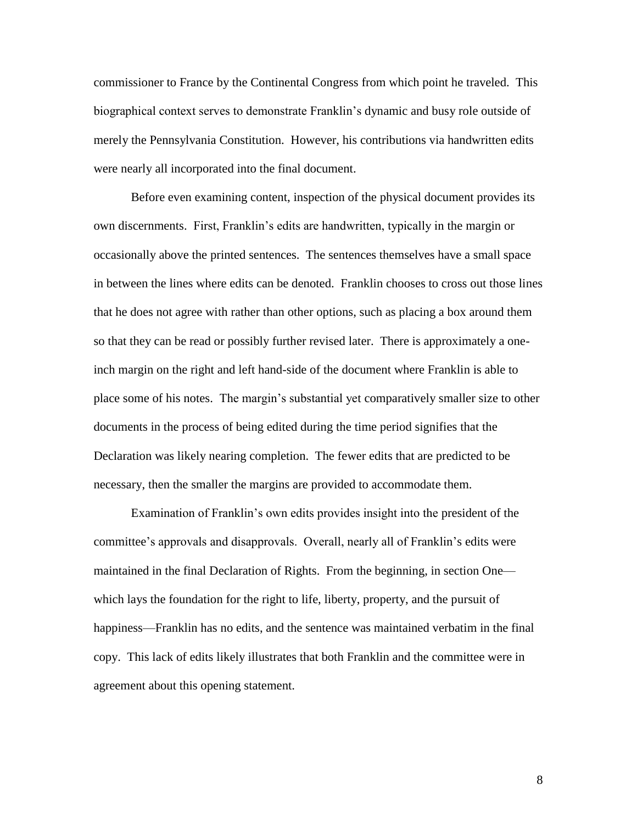commissioner to France by the Continental Congress from which point he traveled. This biographical context serves to demonstrate Franklin's dynamic and busy role outside of merely the Pennsylvania Constitution. However, his contributions via handwritten edits were nearly all incorporated into the final document.

Before even examining content, inspection of the physical document provides its own discernments. First, Franklin's edits are handwritten, typically in the margin or occasionally above the printed sentences. The sentences themselves have a small space in between the lines where edits can be denoted. Franklin chooses to cross out those lines that he does not agree with rather than other options, such as placing a box around them so that they can be read or possibly further revised later. There is approximately a oneinch margin on the right and left hand-side of the document where Franklin is able to place some of his notes. The margin's substantial yet comparatively smaller size to other documents in the process of being edited during the time period signifies that the Declaration was likely nearing completion. The fewer edits that are predicted to be necessary, then the smaller the margins are provided to accommodate them.

Examination of Franklin's own edits provides insight into the president of the committee's approvals and disapprovals. Overall, nearly all of Franklin's edits were maintained in the final Declaration of Rights. From the beginning, in section One which lays the foundation for the right to life, liberty, property, and the pursuit of happiness—Franklin has no edits, and the sentence was maintained verbatim in the final copy. This lack of edits likely illustrates that both Franklin and the committee were in agreement about this opening statement.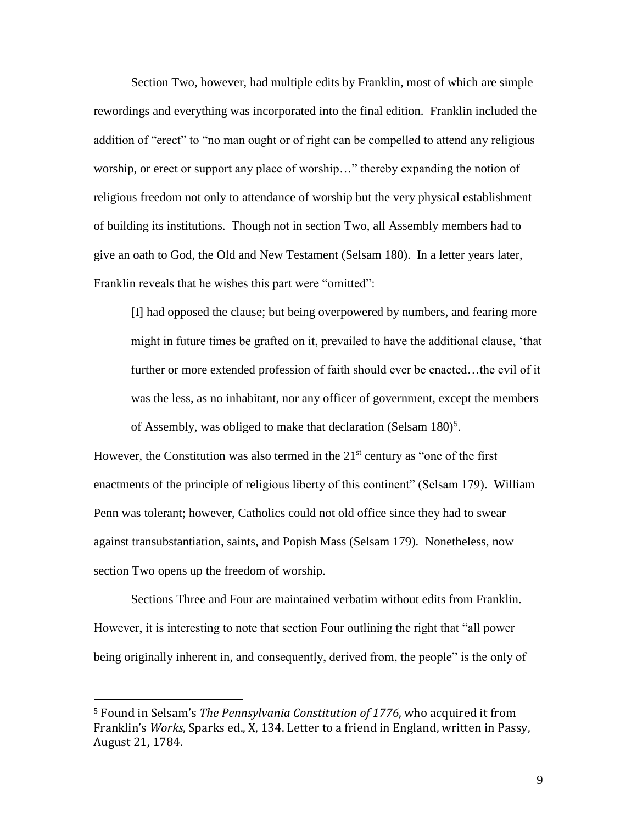Section Two, however, had multiple edits by Franklin, most of which are simple rewordings and everything was incorporated into the final edition. Franklin included the addition of "erect" to "no man ought or of right can be compelled to attend any religious worship, or erect or support any place of worship…" thereby expanding the notion of religious freedom not only to attendance of worship but the very physical establishment of building its institutions. Though not in section Two, all Assembly members had to give an oath to God, the Old and New Testament (Selsam 180). In a letter years later, Franklin reveals that he wishes this part were "omitted":

[I] had opposed the clause; but being overpowered by numbers, and fearing more might in future times be grafted on it, prevailed to have the additional clause, 'that further or more extended profession of faith should ever be enacted...the evil of it was the less, as no inhabitant, nor any officer of government, except the members of Assembly, was obliged to make that declaration (Selsam 180)<sup>5</sup>.

However, the Constitution was also termed in the  $21<sup>st</sup>$  century as "one of the first enactments of the principle of religious liberty of this continent" (Selsam 179). William Penn was tolerant; however, Catholics could not old office since they had to swear against transubstantiation, saints, and Popish Mass (Selsam 179). Nonetheless, now section Two opens up the freedom of worship.

Sections Three and Four are maintained verbatim without edits from Franklin. However, it is interesting to note that section Four outlining the right that "all power being originally inherent in, and consequently, derived from, the people" is the only of

<sup>5</sup> Found in Selsam's *The Pennsylvania Constitution of 1776*, who acquired it from Franklin's *Works*, Sparks ed., X, 134. Letter to a friend in England, written in Passy, August 21, 1784.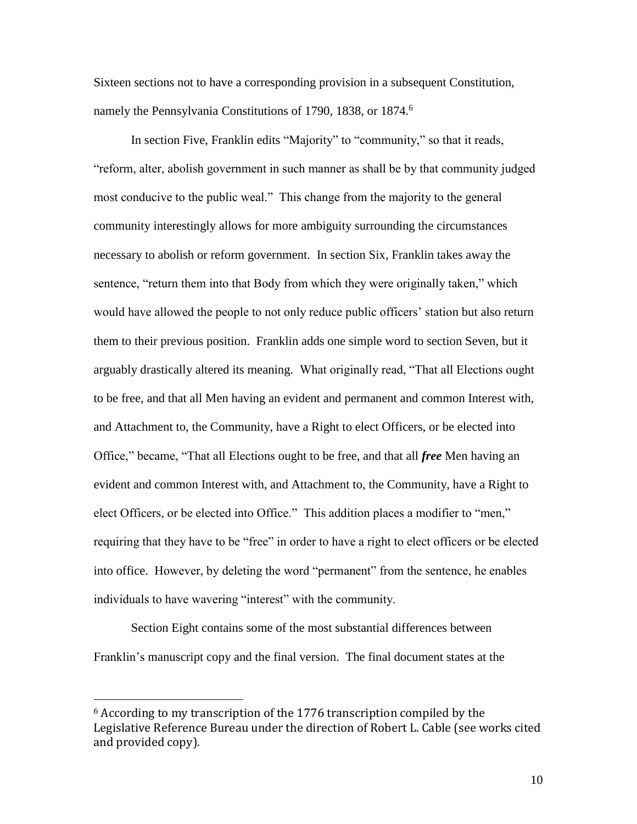Sixteen sections not to have a corresponding provision in a subsequent Constitution, namely the Pennsylvania Constitutions of 1790, 1838, or 1874.<sup>6</sup>

In section Five, Franklin edits "Majority" to "community," so that it reads, "reform, alter, abolish government in such manner as shall be by that community judged most conducive to the public weal." This change from the majority to the general community interestingly allows for more ambiguity surrounding the circumstances necessary to abolish or reform government. In section Six, Franklin takes away the sentence, "return them into that Body from which they were originally taken," which would have allowed the people to not only reduce public officers' station but also return them to their previous position. Franklin adds one simple word to section Seven, but it arguably drastically altered its meaning. What originally read, "That all Elections ought to be free, and that all Men having an evident and permanent and common Interest with, and Attachment to, the Community, have a Right to elect Officers, or be elected into Office," became, "That all Elections ought to be free, and that all *free* Men having an evident and common Interest with, and Attachment to, the Community, have a Right to elect Officers, or be elected into Office." This addition places a modifier to "men," requiring that they have to be "free" in order to have a right to elect officers or be elected into office. However, by deleting the word "permanent" from the sentence, he enables individuals to have wavering "interest" with the community.

Section Eight contains some of the most substantial differences between Franklin's manuscript copy and the final version. The final document states at the

<sup>6</sup> According to my transcription of the 1776 transcription compiled by the Legislative Reference Bureau under the direction of Robert L. Cable (see works cited and provided copy).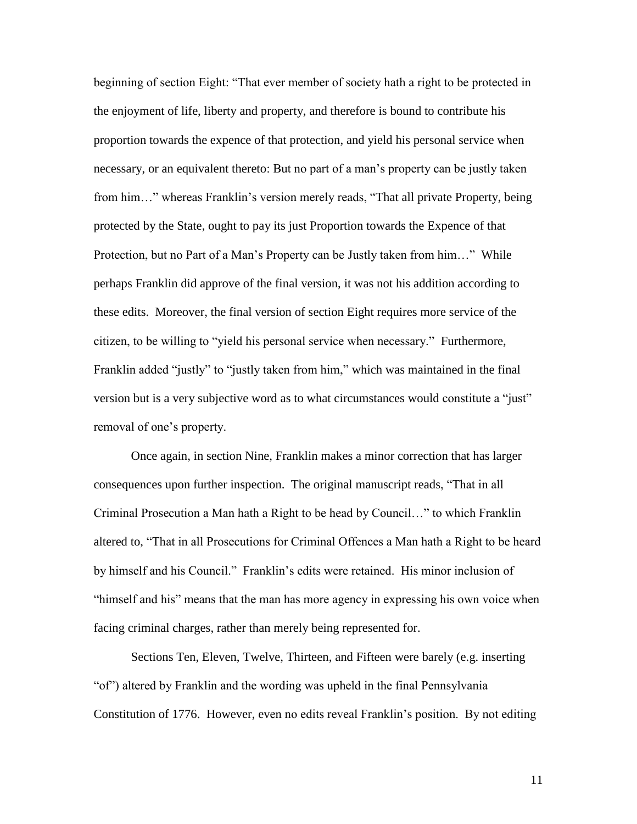beginning of section Eight: "That ever member of society hath a right to be protected in the enjoyment of life, liberty and property, and therefore is bound to contribute his proportion towards the expence of that protection, and yield his personal service when necessary, or an equivalent thereto: But no part of a man's property can be justly taken from him…" whereas Franklin's version merely reads, "That all private Property, being protected by the State, ought to pay its just Proportion towards the Expence of that Protection, but no Part of a Man's Property can be Justly taken from him…" While perhaps Franklin did approve of the final version, it was not his addition according to these edits. Moreover, the final version of section Eight requires more service of the citizen, to be willing to "yield his personal service when necessary." Furthermore, Franklin added "justly" to "justly taken from him," which was maintained in the final version but is a very subjective word as to what circumstances would constitute a "just" removal of one's property.

Once again, in section Nine, Franklin makes a minor correction that has larger consequences upon further inspection. The original manuscript reads, "That in all Criminal Prosecution a Man hath a Right to be head by Council…" to which Franklin altered to, "That in all Prosecutions for Criminal Offences a Man hath a Right to be heard by himself and his Council." Franklin's edits were retained. His minor inclusion of "himself and his" means that the man has more agency in expressing his own voice when facing criminal charges, rather than merely being represented for.

Sections Ten, Eleven, Twelve, Thirteen, and Fifteen were barely (e.g. inserting "of") altered by Franklin and the wording was upheld in the final Pennsylvania Constitution of 1776. However, even no edits reveal Franklin's position. By not editing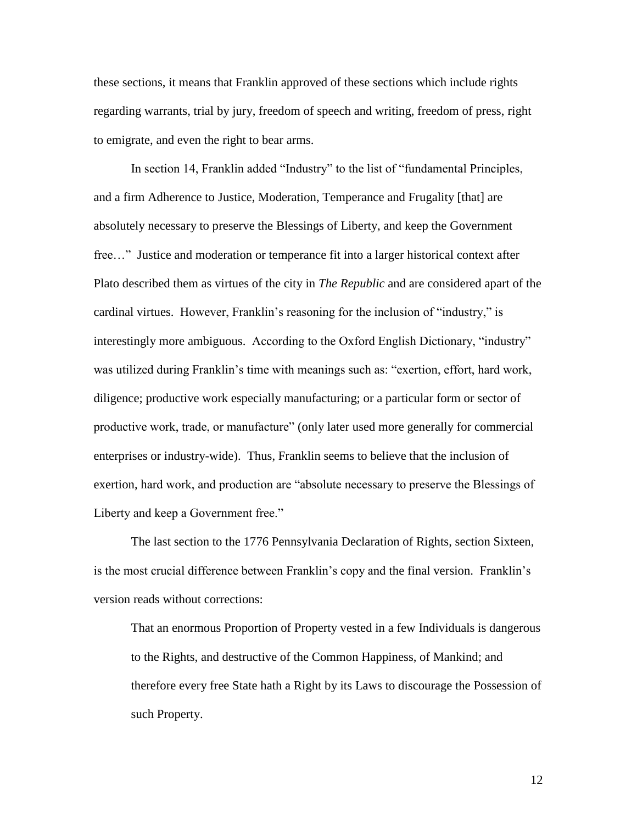these sections, it means that Franklin approved of these sections which include rights regarding warrants, trial by jury, freedom of speech and writing, freedom of press, right to emigrate, and even the right to bear arms.

In section 14, Franklin added "Industry" to the list of "fundamental Principles, and a firm Adherence to Justice, Moderation, Temperance and Frugality [that] are absolutely necessary to preserve the Blessings of Liberty, and keep the Government free…" Justice and moderation or temperance fit into a larger historical context after Plato described them as virtues of the city in *The Republic* and are considered apart of the cardinal virtues. However, Franklin's reasoning for the inclusion of "industry," is interestingly more ambiguous. According to the Oxford English Dictionary, "industry" was utilized during Franklin's time with meanings such as: "exertion, effort, hard work, diligence; productive work especially manufacturing; or a particular form or sector of productive work, trade, or manufacture" (only later used more generally for commercial enterprises or industry-wide). Thus, Franklin seems to believe that the inclusion of exertion, hard work, and production are "absolute necessary to preserve the Blessings of Liberty and keep a Government free."

The last section to the 1776 Pennsylvania Declaration of Rights, section Sixteen, is the most crucial difference between Franklin's copy and the final version. Franklin's version reads without corrections:

That an enormous Proportion of Property vested in a few Individuals is dangerous to the Rights, and destructive of the Common Happiness, of Mankind; and therefore every free State hath a Right by its Laws to discourage the Possession of such Property.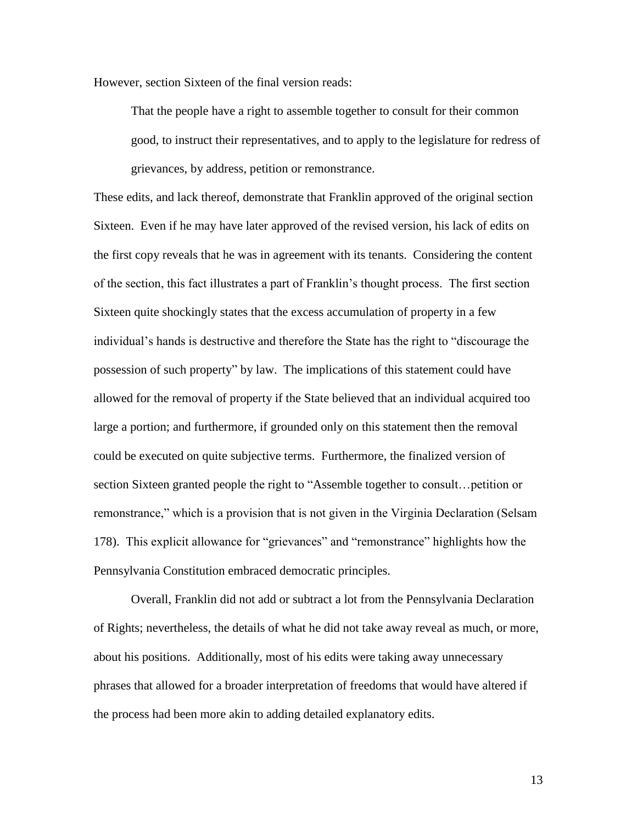However, section Sixteen of the final version reads:

That the people have a right to assemble together to consult for their common good, to instruct their representatives, and to apply to the legislature for redress of grievances, by address, petition or remonstrance.

These edits, and lack thereof, demonstrate that Franklin approved of the original section Sixteen. Even if he may have later approved of the revised version, his lack of edits on the first copy reveals that he was in agreement with its tenants. Considering the content of the section, this fact illustrates a part of Franklin's thought process. The first section Sixteen quite shockingly states that the excess accumulation of property in a few individual's hands is destructive and therefore the State has the right to "discourage the possession of such property" by law. The implications of this statement could have allowed for the removal of property if the State believed that an individual acquired too large a portion; and furthermore, if grounded only on this statement then the removal could be executed on quite subjective terms. Furthermore, the finalized version of section Sixteen granted people the right to "Assemble together to consult…petition or remonstrance," which is a provision that is not given in the Virginia Declaration (Selsam 178). This explicit allowance for "grievances" and "remonstrance" highlights how the Pennsylvania Constitution embraced democratic principles.

Overall, Franklin did not add or subtract a lot from the Pennsylvania Declaration of Rights; nevertheless, the details of what he did not take away reveal as much, or more, about his positions. Additionally, most of his edits were taking away unnecessary phrases that allowed for a broader interpretation of freedoms that would have altered if the process had been more akin to adding detailed explanatory edits.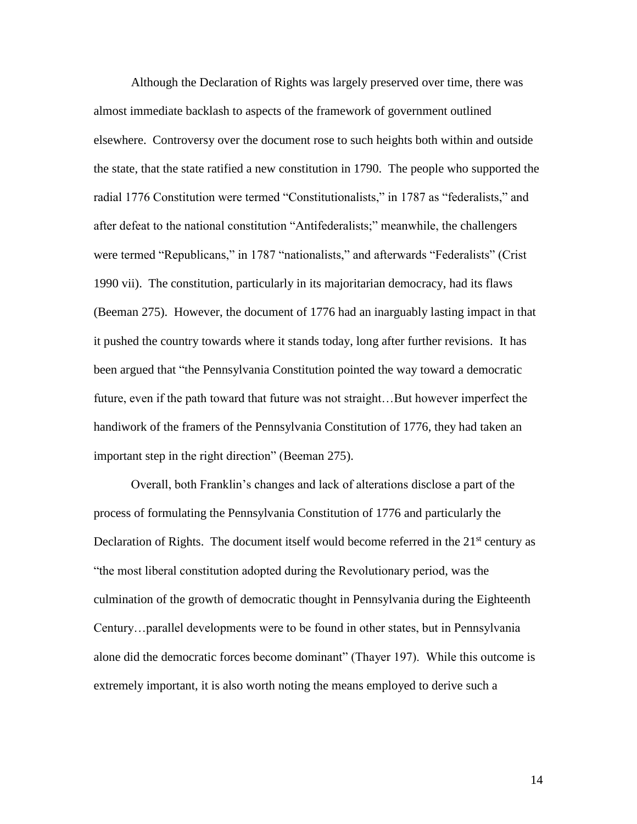Although the Declaration of Rights was largely preserved over time, there was almost immediate backlash to aspects of the framework of government outlined elsewhere. Controversy over the document rose to such heights both within and outside the state, that the state ratified a new constitution in 1790. The people who supported the radial 1776 Constitution were termed "Constitutionalists," in 1787 as "federalists," and after defeat to the national constitution "Antifederalists;" meanwhile, the challengers were termed "Republicans," in 1787 "nationalists," and afterwards "Federalists" (Crist 1990 vii). The constitution, particularly in its majoritarian democracy, had its flaws (Beeman 275). However, the document of 1776 had an inarguably lasting impact in that it pushed the country towards where it stands today, long after further revisions. It has been argued that "the Pennsylvania Constitution pointed the way toward a democratic future, even if the path toward that future was not straight…But however imperfect the handiwork of the framers of the Pennsylvania Constitution of 1776, they had taken an important step in the right direction" (Beeman 275).

Overall, both Franklin's changes and lack of alterations disclose a part of the process of formulating the Pennsylvania Constitution of 1776 and particularly the Declaration of Rights. The document itself would become referred in the  $21<sup>st</sup>$  century as "the most liberal constitution adopted during the Revolutionary period, was the culmination of the growth of democratic thought in Pennsylvania during the Eighteenth Century…parallel developments were to be found in other states, but in Pennsylvania alone did the democratic forces become dominant" (Thayer 197). While this outcome is extremely important, it is also worth noting the means employed to derive such a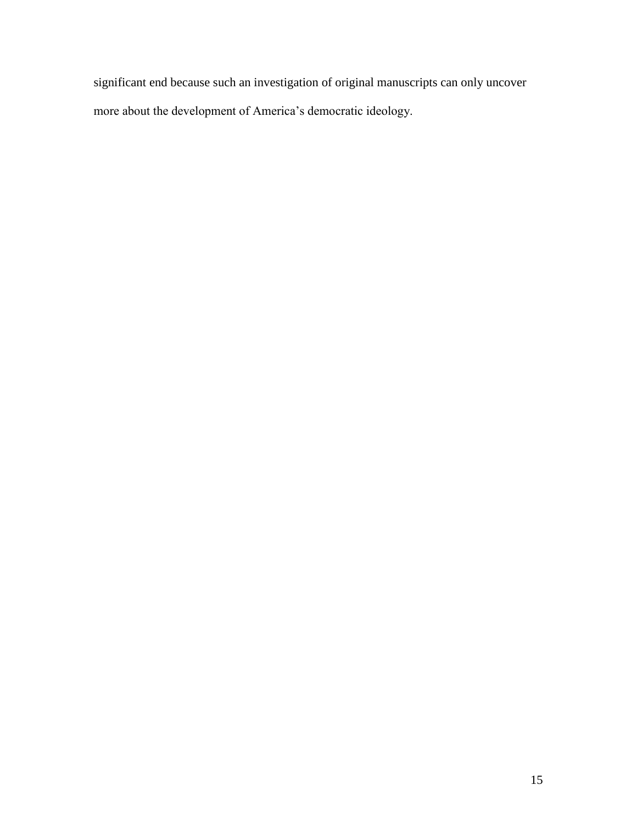significant end because such an investigation of original manuscripts can only uncover more about the development of America's democratic ideology.